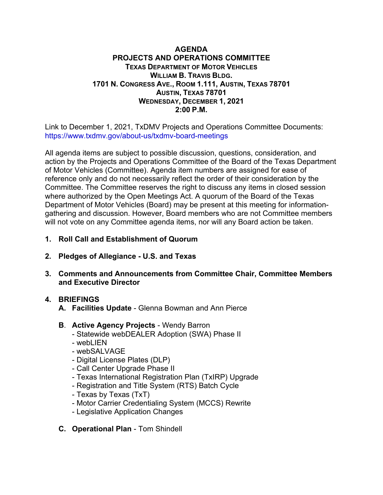#### **AGENDA PROJECTS AND OPERATIONS COMMITTEE TEXAS DEPARTMENT OF MOTOR VEHICLES WILLIAM B. TRAVIS BLDG. 1701 N. CONGRESS AVE., ROOM 1.111, AUSTIN, TEXAS 78701 AUSTIN, TEXAS 78701 WEDNESDAY, DECEMBER 1, 2021 2:00 P.M.**

Link to December 1, 2021, TxDMV Projects and Operations Committee Documents: https://www.txdmv.gov/about-us/txdmv-board-meetings

All agenda items are subject to possible discussion, questions, consideration, and action by the Projects and Operations Committee of the Board of the Texas Department of Motor Vehicles (Committee). Agenda item numbers are assigned for ease of reference only and do not necessarily reflect the order of their consideration by the Committee. The Committee reserves the right to discuss any items in closed session where authorized by the Open Meetings Act. A quorum of the Board of the Texas Department of Motor Vehicles (Board) may be present at this meeting for informationgathering and discussion. However, Board members who are not Committee members will not vote on any Committee agenda items, nor will any Board action be taken.

- **1. Roll Call and Establishment of Quorum**
- **2. Pledges of Allegiance U.S. and Texas**
- **3. Comments and Announcements from Committee Chair, Committee Members and Executive Director**

## **4. BRIEFINGS**

- **A. Facilities Update**  Glenna Bowman and Ann Pierce
- **B**. **Active Agency Projects** Wendy Barron
	- Statewide webDEALER Adoption (SWA) Phase II
	- webLIEN
	- webSALVAGE
	- Digital License Plates (DLP)
	- Call Center Upgrade Phase II
	- Texas International Registration Plan (TxIRP) Upgrade
	- Registration and Title System (RTS) Batch Cycle
	- Texas by Texas (TxT)
	- Motor Carrier Credentialing System (MCCS) Rewrite
	- Legislative Application Changes
- **C. Operational Plan** Tom Shindell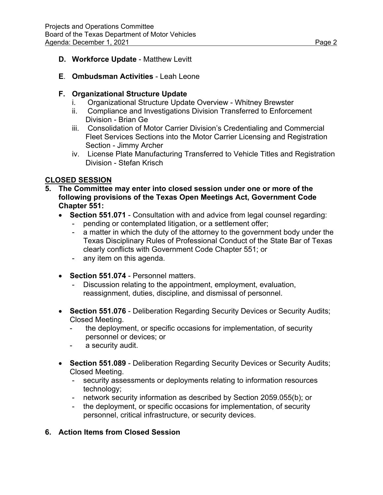## **D. Workforce Update** - Matthew Levitt

## **E**. **Ombudsman Activities** - Leah Leone

#### **F. Organizational Structure Update**

- i. Organizational Structure Update Overview Whitney Brewster
- ii. Compliance and Investigations Division Transferred to Enforcement Division - Brian Ge
- iii. Consolidation of Motor Carrier Division's Credentialing and Commercial Fleet Services Sections into the Motor Carrier Licensing and Registration Section - Jimmy Archer
- iv. License Plate Manufacturing Transferred to Vehicle Titles and Registration Division - Stefan Krisch

# **CLOSED SESSION**

- **5. The Committee may enter into closed session under one or more of the following provisions of the Texas Open Meetings Act, Government Code Chapter 551:** 
	- **Section 551.071** Consultation with and advice from legal counsel regarding:
		- pending or contemplated litigation, or a settlement offer;
		- a matter in which the duty of the attorney to the government body under the Texas Disciplinary Rules of Professional Conduct of the State Bar of Texas clearly conflicts with Government Code Chapter 551; or
		- any item on this agenda.
	- **Section 551.074** Personnel matters.
		- Discussion relating to the appointment, employment, evaluation, reassignment, duties, discipline, and dismissal of personnel.
	- **Section 551.076** Deliberation Regarding Security Devices or Security Audits; Closed Meeting.
		- the deployment, or specific occasions for implementation, of security personnel or devices; or
		- a security audit.
	- **Section 551.089** Deliberation Regarding Security Devices or Security Audits; Closed Meeting.
		- security assessments or deployments relating to information resources technology;
		- network security information as described by Section 2059.055(b); or
		- the deployment, or specific occasions for implementation, of security personnel, critical infrastructure, or security devices.

## **6. Action Items from Closed Session**